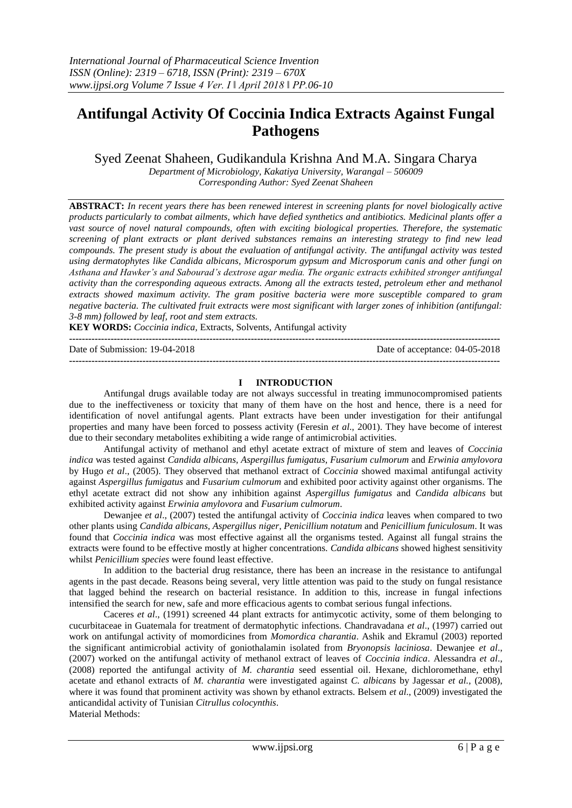# **Antifungal Activity Of Coccinia Indica Extracts Against Fungal Pathogens**

Syed Zeenat Shaheen, Gudikandula Krishna And M.A. Singara Charya

*Department of Microbiology, Kakatiya University, Warangal – 506009 Corresponding Author: Syed Zeenat Shaheen*

**ABSTRACT:** *In recent years there has been renewed interest in screening plants for novel biologically active products particularly to combat ailments, which have defied synthetics and antibiotics. Medicinal plants offer a vast source of novel natural compounds, often with exciting biological properties. Therefore, the systematic screening of plant extracts or plant derived substances remains an interesting strategy to find new lead compounds. The present study is about the evaluation of antifungal activity. The antifungal activity was tested using dermatophytes like Candida albicans, Microsporum gypsum and Microsporum canis and other fungi on Asthana and Hawker's and Sabourad's dextrose agar media. The organic extracts exhibited stronger antifungal activity than the corresponding aqueous extracts. Among all the extracts tested, petroleum ether and methanol extracts showed maximum activity. The gram positive bacteria were more susceptible compared to gram negative bacteria. The cultivated fruit extracts were most significant with larger zones of inhibition (antifungal: 3-8 mm) followed by leaf, root and stem extracts.* 

**KEY WORDS:** *Coccinia indica,* Extracts, Solvents, Antifungal activity **---------------------------------------------------------------------------------------------------------------------------------------**

Date of Submission: 19-04-2018 Date of acceptance: 04-05-2018 **---------------------------------------------------------------------------------------------------------------------------------------**

# **I INTRODUCTION**

Antifungal drugs available today are not always successful in treating immunocompromised patients due to the ineffectiveness or toxicity that many of them have on the host and hence, there is a need for identification of novel antifungal agents. Plant extracts have been under investigation for their antifungal properties and many have been forced to possess activity (Feresin *et al*., 2001). They have become of interest due to their secondary metabolites exhibiting a wide range of antimicrobial activities.

Antifungal activity of methanol and ethyl acetate extract of mixture of stem and leaves of *Coccinia indica* was tested against *Candida albicans, Aspergillus fumigatus*, *Fusarium culmorum* and *Erwinia amylovora*  by Hugo *et al*., (2005). They observed that methanol extract of *Coccinia* showed maximal antifungal activity against *Aspergillus fumigatus* and *Fusarium culmorum* and exhibited poor activity against other organisms. The ethyl acetate extract did not show any inhibition against *Aspergillus fumigatus* and *Candida albicans* but exhibited activity against *Erwinia amylovora* and *Fusarium culmorum*.

Dewanjee *et al*., (2007) tested the antifungal activity of *Coccinia indica* leaves when compared to two other plants using *Candida albicans, Aspergillus niger, Penicillium notatum* and *Penicillium funiculosum*. It was found that *Coccinia indica* was most effective against all the organisms tested. Against all fungal strains the extracts were found to be effective mostly at higher concentrations. *Candida albicans* showed highest sensitivity whilst *Penicillium species* were found least effective.

In addition to the bacterial drug resistance, there has been an increase in the resistance to antifungal agents in the past decade. Reasons being several, very little attention was paid to the study on fungal resistance that lagged behind the research on bacterial resistance. In addition to this, increase in fungal infections intensified the search for new, safe and more efficacious agents to combat serious fungal infections.

Caceres *et al*., (1991) screened 44 plant extracts for antimycotic activity, some of them belonging to cucurbitaceae in Guatemala for treatment of dermatophytic infections. Chandravadana *et al*., (1997) carried out work on antifungal activity of momordicines from *Momordica charantia*. Ashik and Ekramul (2003) reported the significant antimicrobial activity of goniothalamin isolated from *Bryonopsis laciniosa*. Dewanjee *et al*., (2007) worked on the antifungal activity of methanol extract of leaves of *Coccinia indica*. Alessandra *et al*., (2008) reported the antifungal activity of *M. charantia* seed essential oil. Hexane, dichloromethane, ethyl acetate and ethanol extracts of *M. charantia* were investigated against *C. albicans* by Jagessar *et al.,* (2008), where it was found that prominent activity was shown by ethanol extracts. Belsem *et al*., (2009) investigated the anticandidal activity of Tunisian *Citrullus colocynthis*. Material Methods: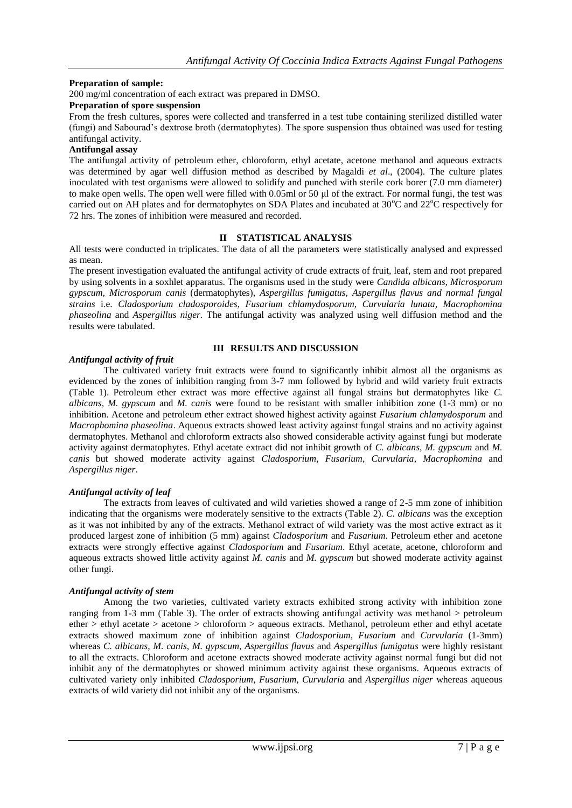# **Preparation of sample:**

200 mg/ml concentration of each extract was prepared in DMSO.

## **Preparation of spore suspension**

From the fresh cultures, spores were collected and transferred in a test tube containing sterilized distilled water (fungi) and Sabourad's dextrose broth (dermatophytes). The spore suspension thus obtained was used for testing antifungal activity.

# **Antifungal assay**

The antifungal activity of petroleum ether, chloroform, ethyl acetate, acetone methanol and aqueous extracts was determined by agar well diffusion method as described by Magaldi *et al*., (2004). The culture plates inoculated with test organisms were allowed to solidify and punched with sterile cork borer (7.0 mm diameter) to make open wells. The open well were filled with 0.05ml or 50 μl of the extract. For normal fungi, the test was carried out on AH plates and for dermatophytes on SDA Plates and incubated at  $30^{\circ}$ C and  $22^{\circ}$ C respectively for 72 hrs. The zones of inhibition were measured and recorded.

# **II STATISTICAL ANALYSIS**

All tests were conducted in triplicates. The data of all the parameters were statistically analysed and expressed as mean.

The present investigation evaluated the antifungal activity of crude extracts of fruit, leaf, stem and root prepared by using solvents in a soxhlet apparatus. The organisms used in the study were *Candida albicans, Microsporum gypscum, Microsporum canis* (dermatophytes), *Aspergillus fumigatus, Aspergillus flavus and normal fungal strains* i.e. *Cladosporium cladosporoides, Fusarium chlamydosporum, Curvularia lunata, Macrophomina phaseolina* and *Aspergillus niger.* The antifungal activity was analyzed using well diffusion method and the results were tabulated.

# **III RESULTS AND DISCUSSION**

# *Antifungal activity of fruit*

The cultivated variety fruit extracts were found to significantly inhibit almost all the organisms as evidenced by the zones of inhibition ranging from 3-7 mm followed by hybrid and wild variety fruit extracts (Table 1). Petroleum ether extract was more effective against all fungal strains but dermatophytes like *C. albicans, M. gypscum* and *M. canis* were found to be resistant with smaller inhibition zone (1-3 mm) or no inhibition. Acetone and petroleum ether extract showed highest activity against *Fusarium chlamydosporum* and *Macrophomina phaseolina*. Aqueous extracts showed least activity against fungal strains and no activity against dermatophytes. Methanol and chloroform extracts also showed considerable activity against fungi but moderate activity against dermatophytes. Ethyl acetate extract did not inhibit growth of *C. albicans, M. gypscum* and *M. canis* but showed moderate activity against *Cladosporium*, *Fusarium*, *Curvularia*, *Macrophomina* and *Aspergillus niger*.

# *Antifungal activity of leaf*

The extracts from leaves of cultivated and wild varieties showed a range of 2-5 mm zone of inhibition indicating that the organisms were moderately sensitive to the extracts (Table 2). *C. albicans* was the exception as it was not inhibited by any of the extracts. Methanol extract of wild variety was the most active extract as it produced largest zone of inhibition (5 mm) against *Cladosporium* and *Fusarium*. Petroleum ether and acetone extracts were strongly effective against *Cladosporium* and *Fusarium*. Ethyl acetate, acetone, chloroform and aqueous extracts showed little activity against *M. canis* and *M. gypscum* but showed moderate activity against other fungi.

### *Antifungal activity of stem*

Among the two varieties, cultivated variety extracts exhibited strong activity with inhibition zone ranging from 1-3 mm (Table 3). The order of extracts showing antifungal activity was methanol > petroleum ether > ethyl acetate > acetone > chloroform > aqueous extracts. Methanol, petroleum ether and ethyl acetate extracts showed maximum zone of inhibition against *Cladosporium*, *Fusarium* and *Curvularia* (1-3mm) whereas *C. albicans*, *M. canis*, *M. gypscum*, *Aspergillus flavus* and *Aspergillus fumigatus* were highly resistant to all the extracts. Chloroform and acetone extracts showed moderate activity against normal fungi but did not inhibit any of the dermatophytes or showed minimum activity against these organisms. Aqueous extracts of cultivated variety only inhibited *Cladosporium, Fusarium, Curvularia* and *Aspergillus niger* whereas aqueous extracts of wild variety did not inhibit any of the organisms.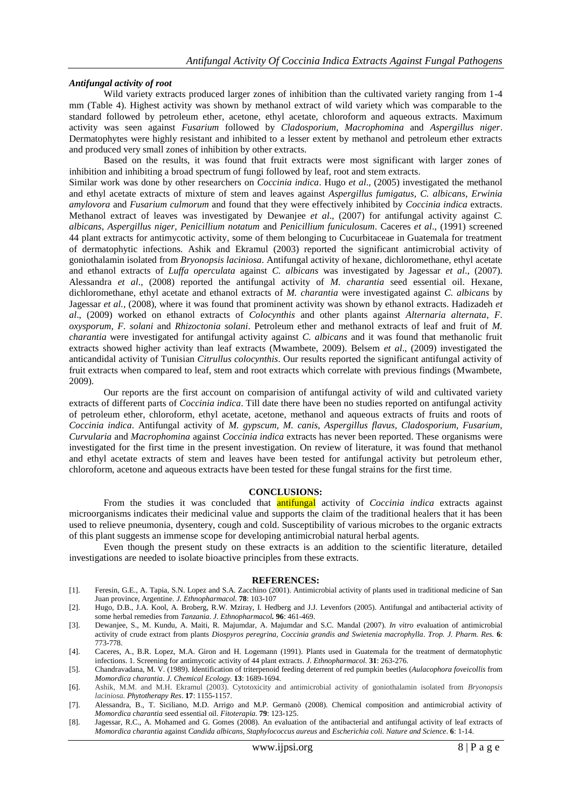## *Antifungal activity of root*

Wild variety extracts produced larger zones of inhibition than the cultivated variety ranging from 1-4 mm (Table 4). Highest activity was shown by methanol extract of wild variety which was comparable to the standard followed by petroleum ether, acetone, ethyl acetate, chloroform and aqueous extracts. Maximum activity was seen against *Fusarium* followed by *Cladosporium*, *Macrophomina* and *Aspergillus niger*. Dermatophytes were highly resistant and inhibited to a lesser extent by methanol and petroleum ether extracts and produced very small zones of inhibition by other extracts.

Based on the results, it was found that fruit extracts were most significant with larger zones of inhibition and inhibiting a broad spectrum of fungi followed by leaf, root and stem extracts. Similar work was done by other researchers on *Coccinia indica*. Hugo *et al*., (2005) investigated the methanol and ethyl acetate extracts of mixture of stem and leaves against *Aspergillus fumigatus, C. albicans, Erwinia amylovora* and *Fusarium culmorum* and found that they were effectively inhibited by *Coccinia indica* extracts. Methanol extract of leaves was investigated by Dewanjee *et al*., (2007) for antifungal activity against *C. albicans*, *Aspergillus niger, Penicillium notatum* and *Penicillium funiculosum*. Caceres *et al*., (1991) screened 44 plant extracts for antimycotic activity, some of them belonging to Cucurbitaceae in Guatemala for treatment of dermatophytic infections. Ashik and Ekramul (2003) reported the significant antimicrobial activity of goniothalamin isolated from *Bryonopsis laciniosa*. Antifungal activity of hexane, dichloromethane, ethyl acetate and ethanol extracts of *Luffa operculata* against *C. albicans* was investigated by Jagessar *et al*., (2007). Alessandra *et al*., (2008) reported the antifungal activity of *M. charantia* seed essential oil. Hexane, dichloromethane, ethyl acetate and ethanol extracts of *M. charantia* were investigated against *C. albicans* by Jagessar *et al.,* (2008), where it was found that prominent activity was shown by ethanol extracts. Hadizadeh *et al*., (2009) worked on ethanol extracts of *Colocynthis* and other plants against *Alternaria alternata*, *F. oxysporum*, *F. solani* and *Rhizoctonia solani*. Petroleum ether and methanol extracts of leaf and fruit of *M. charantia* were investigated for antifungal activity against *C. albicans* and it was found that methanolic fruit extracts showed higher activity than leaf extracts (Mwambete, 2009). Belsem *et al*., (2009) investigated the anticandidal activity of Tunisian *Citrullus colocynthis*. Our results reported the significant antifungal activity of fruit extracts when compared to leaf, stem and root extracts which correlate with previous findings (Mwambete, 2009).

Our reports are the first account on comparision of antifungal activity of wild and cultivated variety extracts of different parts of *Coccinia indica*. Till date there have been no studies reported on antifungal activity of petroleum ether, chloroform, ethyl acetate, acetone, methanol and aqueous extracts of fruits and roots of *Coccinia indica*. Antifungal activity of *M. gypscum, M. canis, Aspergillus flavus, Cladosporium, Fusarium, Curvularia* and *Macrophomina* against *Coccinia indica* extracts has never been reported. These organisms were investigated for the first time in the present investigation. On review of literature, it was found that methanol and ethyl acetate extracts of stem and leaves have been tested for antifungal activity but petroleum ether, chloroform, acetone and aqueous extracts have been tested for these fungal strains for the first time.

#### **CONCLUSIONS:**

From the studies it was concluded that antifungal activity of *Coccinia indica* extracts against microorganisms indicates their medicinal value and supports the claim of the traditional healers that it has been used to relieve pneumonia, dysentery, cough and cold. Susceptibility of various microbes to the organic extracts of this plant suggests an immense scope for developing antimicrobial natural herbal agents.

Even though the present study on these extracts is an addition to the scientific literature, detailed investigations are needed to isolate bioactive principles from these extracts.

#### **REFERENCES:**

- [1]. Feresin, G.E., A. Tapia, S.N. Lopez and S.A. Zacchino (2001). Antimicrobial activity of plants used in traditional medicine of San Juan province, Argentine. *J. Ethnopharmacol.* **78**: 103-107
- [2]. Hugo, D.B., J.A. Kool, A. Broberg, R.W. Mziray, I. Hedberg and J.J. Levenfors (2005). Antifungal and antibacterial activity of some herbal remedies from *Tanzania*. *J. Ethnopharmacol.* **96**: 461-469.
- [3]. Dewanjee, S., M. Kundu, A. Maiti, R. Majumdar, A. Majumdar and S.C. Mandal (2007). *In vitro* evaluation of antimicrobial activity of crude extract from plants *Diospyros peregrina, Coccinia grandis and Swietenia macrophylla*. *Trop. J. Pharm. Res.* **6**: 773-778.
- [4]. Caceres, A., B.R. Lopez, M.A. Giron and H. Logemann (1991). Plants used in Guatemala for the treatment of dermatophytic infections. 1. Screening for antimycotic activity of 44 plant extracts. *J. Ethnopharmacol.* **31**: 263-276.
- [5]. Chandravadana, M. V. (1989). Identification of triterpenoid feeding deterrent of red pumpkin beetles (*Aulacophora foveicollis* from *Momordica charantia*. *J. Chemical Ecology.* **13**: 1689-1694.
- [6]. Ashik, M.M. and M.H. Ekramul (2003). Cytotoxicity and antimicrobial activity of goniothalamin isolated from *Bryonopsis laciniosa. Phytotherapy Res*. **17**: 1155-1157.
- [7]. Alessandra, B., T. Siciliano, M.D. Arrigo and M.P. Germanò (2008). Chemical composition and antimicrobial activity of *Momordica charantia* seed essential oil. *Fitoterapia.* **79**: 123-125.
- [8]. Jagessar, R.C., A. Mohamed and G. Gomes (2008). An evaluation of the antibacterial and antifungal activity of leaf extracts of *Momordica charantia* against *Candida albicans, Staphylococcus aureus* and *Escherichia coli. Nature and Science*. **6**: 1-14.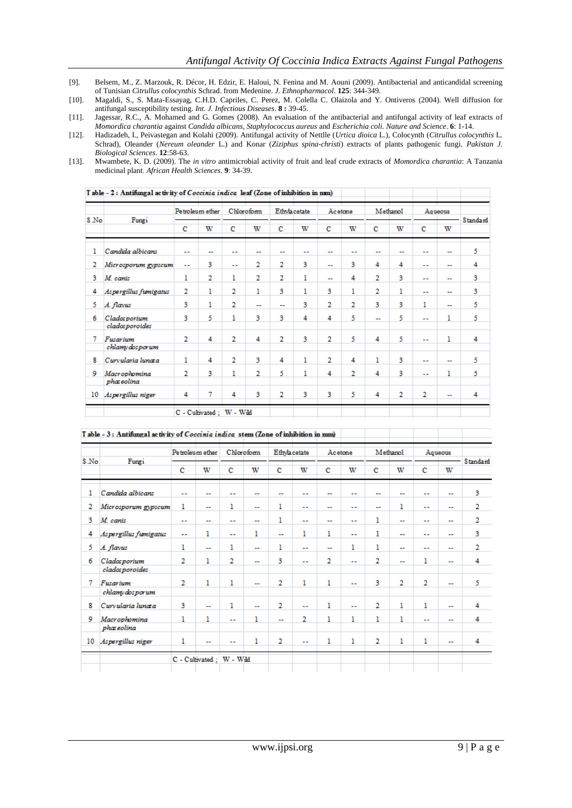- [9]. Belsem, M., Z. Marzouk, R. Décor, H. Edzir, E. Haloui, N. Fenina and M. Aouni (2009). Antibacterial and anticandidal screening of Tunisian *Citrullus colocynthis* Schrad. from Medenine. *J. Ethnopharmacol.* **125**: 344-349.
- [10]. Magaldi, S., S. Mata-Essayag, C.H.D. Capriles, C. Perez, M. Colella C. Olaizola and Y. Ontiveros (2004). Well diffusion for antifungal susceptibility testing. *Int. J. Infectious Diseases*. **8 :** 39-45.
- [11]. Jagessar, R.C., A. Mohamed and G. Gomes (2008). An evaluation of the antibacterial and antifungal activity of leaf extracts of *Momordica charantia* against *Candida albicans, Staphylococcus aureus* and *Escherichia coli. Nature and Science*. **6**: 1-14.
- [12]. Hadizadeh, I., Peivastegan and Kolahi (2009). Antifungal activity of Nettlle (*Urtica dioica* L.), Colocynth (*Citrullus colocynthis* L. Schrad), Oleander (*Nereum oleander* L.) and Konar (*Ziziphus spina-christi*) extracts of plants pathogenic fungi. *Pakistan J. Biological Sciences*. **12**:58-63.
- [13]. Mwambete, K. D. (2009). The *in vitro* antimicrobial activity of fruit and leaf crude extracts of *Momordica charantia*: A Tanzania medicinal plant. *African Health Sciences*. **9**: 34-39.

| S No | Fungi                                 |    | Petroleum ether |                | Chloroform |    | Ethylacetate |                          | Acetone |    | Methanol |                | Aqueous                  |          |
|------|---------------------------------------|----|-----------------|----------------|------------|----|--------------|--------------------------|---------|----|----------|----------------|--------------------------|----------|
|      |                                       | c  | w               | c              | w          | c  | w            | c                        | w       | c  | w        | c              | w                        | Standard |
| ı    | Candida albicans                      | -- | --              | --             | --         | -- | --           | --                       | --      | -- | --       | --             | --                       | 5        |
| 2    | Microsporum gypscum                   | ш. | 3               | $\overline{a}$ | 2          | 2  | 3            | $\overline{\phantom{a}}$ | 3       | 4  | 4        | --             | $\overline{\phantom{a}}$ | 4        |
| з    | M. canis                              | 1  | 2               | ı              | 2          | 2  | ı            | --                       | 4       | 2  | 3        | $\overline{a}$ | $\overline{a}$           | 3        |
| 4    | Aspergillus fumigatus                 | 2  | ı               | 2              | ı          | 3  | 1            | 3                        | ı       | 2  | ı        | $-1$           |                          | 3        |
| 5    | A. flavus                             | 3  | ı               | 2              | --         | ш. | 3            | 2                        | 2       | 3  | 3        | 1              | --                       | 5        |
| 6    | <b>Cladosporium</b><br>cladosporoides | 3  | 5               | ı              | 3          | 3  | 4            | 4                        | 5       | -- | 5        | --             | ı                        | 5        |
| 7    | Fusarium<br>chlamy dos por um         | 2  | 4               | 2              | 4          | 2  | 3            | 2                        | 5       | 4  | 5        | ۰.             | ı                        | 4        |
| 8    | Curvularia lunata                     | 1  | 4               | 2              | 3          | 4  | ı            | 2                        | 4       | ı  | 3        | --             | --                       | 5        |
| 9    | Macrophomina<br>phaseolina            | 2  | 3               | ı              | 2          | 5  | ı            | 4                        | 2       | 4  | 3        | $\overline{a}$ | ı                        | 5        |
| 10   | Aspergillus niger                     | 4  | 7               | 4              | 3          | 2  | 3            | 3                        | 5       | 4  | 2        | 2              | --                       | 4        |

| $\sim$ $\sim$ $\sim$ $\sim$ |  |  |  |  |
|-----------------------------|--|--|--|--|
|                             |  |  |  |  |

|      |                                  |                | Pe troleum ether          |                          | Chloroform     |    | Ethylacetate             |                          | Acetone        |                | Methanol                 | Aqueous        |                          |          |
|------|----------------------------------|----------------|---------------------------|--------------------------|----------------|----|--------------------------|--------------------------|----------------|----------------|--------------------------|----------------|--------------------------|----------|
| S.No | Fungi                            | c              | w                         | c                        | w              | c  | w                        | c                        | w              | с              | w                        | с              | w                        | Standard |
| ı    | Candida albicans                 | ۰.             |                           |                          | --             | ш. | --                       |                          | ۰.             |                | $\overline{\phantom{a}}$ | $\overline{a}$ | ш.                       | 3        |
| 2    | Microsporum gypscum              | 1              | $\overline{\phantom{a}}$  | 1                        | ш.             | ı  | ۰.                       | $\sim$                   | $\sim$ $\sim$  | ш.             | ı                        | ш.             | ш.                       | 2        |
| 3    | M. canis                         | $\overline{a}$ | --                        | $\overline{a}$           | --             | ı  | --                       | $\overline{\phantom{a}}$ | $\overline{a}$ | 1              | $\overline{\phantom{a}}$ | --             | $\overline{\phantom{a}}$ | 2        |
| 4    | Aspergillus fumigatus            | ш.             | ı                         | ۰.                       | 1              | ш, | ı                        | ı                        | ш.             | 1              | --                       | --             | --                       | 3        |
| 5.   | A. flavus                        | 1              | --                        | ı                        | --             | ı  | --                       | $\overline{a}$           | 1              | ı              | $\overline{\phantom{a}}$ | --             | --                       | 2        |
| 6    | Clados porium<br>clados poroides | $\overline{2}$ | ı                         | 2                        | $\overline{a}$ | 3  | $\overline{\phantom{a}}$ | 2                        | $\sim$         | $\overline{2}$ | $\overline{\phantom{a}}$ | ı              | $\overline{a}$           | 4        |
| 7    | Fusarium<br>chlamydosporum       | 2              | ı                         | ı                        | --             | 2  | ı                        | ı                        | $\overline{a}$ | 3              | 2                        | $\overline{2}$ | $\overline{\phantom{a}}$ | 5        |
| 8    | Curvularia lunata                | 3              | $\overline{a}$            | ı                        | --             | 2  | --                       | 1                        | $\overline{a}$ | $\overline{2}$ | 1                        | 1              | $\overline{a}$           | 4        |
| 9    | Macrophomina<br>phaseolina       | ı              | ı                         | $\overline{\phantom{a}}$ | ı              | -- | 2                        | ı                        | 1              | 1              | ı                        | $\overline{a}$ | --                       | 4        |
| 10   | Aspergillus niger                | 1              | --                        | ۰.                       | ı              | 2  | --                       | ı                        | 1              | 2              | 1                        | ı              | --                       | 4        |
|      |                                  |                | C - Cultivated ; W - Wild |                          |                |    |                          |                          |                |                |                          |                |                          |          |